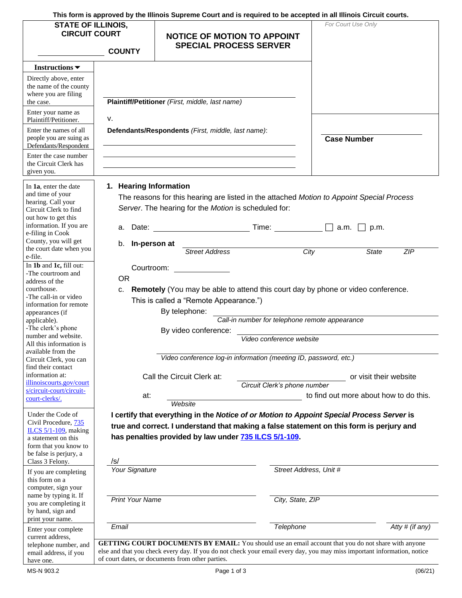**This form is approved by the Illinois Supreme Court and is required to be accepted in all Illinois Circuit courts.** 

| <b>STATE OF ILLINOIS,</b><br><b>CIRCUIT COURT</b><br><b>COUNTY</b>                                                                                                |                                                                                                    | <b>NOTICE OF MOTION TO APPOINT</b><br><b>SPECIAL PROCESS SERVER</b>                                                                                                                                                                                                                |                                                                                                                                                                                                                                |                        | For Court Use Only                     |  |
|-------------------------------------------------------------------------------------------------------------------------------------------------------------------|----------------------------------------------------------------------------------------------------|------------------------------------------------------------------------------------------------------------------------------------------------------------------------------------------------------------------------------------------------------------------------------------|--------------------------------------------------------------------------------------------------------------------------------------------------------------------------------------------------------------------------------|------------------------|----------------------------------------|--|
| Instructions $\blacktriangledown$<br>Directly above, enter<br>the name of the county<br>where you are filing                                                      |                                                                                                    |                                                                                                                                                                                                                                                                                    |                                                                                                                                                                                                                                |                        |                                        |  |
| the case.<br>Enter your name as<br>Plaintiff/Petitioner.                                                                                                          | v.                                                                                                 | Plaintiff/Petitioner (First, middle, last name)                                                                                                                                                                                                                                    |                                                                                                                                                                                                                                |                        |                                        |  |
| Enter the names of all<br>people you are suing as<br>Defendants/Respondent                                                                                        | Defendants/Respondents (First, middle, last name):                                                 |                                                                                                                                                                                                                                                                                    |                                                                                                                                                                                                                                |                        | <b>Case Number</b>                     |  |
| Enter the case number<br>the Circuit Clerk has<br>given you.                                                                                                      |                                                                                                    |                                                                                                                                                                                                                                                                                    |                                                                                                                                                                                                                                |                        |                                        |  |
| In 1a, enter the date<br>and time of your<br>hearing. Call your<br>Circuit Clerk to find<br>out how to get this                                                   | 1. Hearing Information                                                                             | The reasons for this hearing are listed in the attached Motion to Appoint Special Process<br>Server. The hearing for the Motion is scheduled for:                                                                                                                                  |                                                                                                                                                                                                                                |                        |                                        |  |
| information. If you are<br>e-filing in Cook<br>County, you will get                                                                                               | а.                                                                                                 | Date: the contract of the contract of the contract of the contract of the contract of the contract of the contract of the contract of the contract of the contract of the contract of the contract of the contract of the cont                                                     | Time: The contract of the contract of the contract of the contract of the contract of the contract of the contract of the contract of the contract of the contract of the contract of the contract of the contract of the cont | a.m.                   | p.m.                                   |  |
| the court date when you<br>e-file.                                                                                                                                | b.<br>In-person at                                                                                 | <b>Street Address</b>                                                                                                                                                                                                                                                              | City                                                                                                                                                                                                                           |                        | <b>State</b><br>ZIP                    |  |
| In 1b and 1c, fill out:<br>-The courtroom and<br>address of the<br>courthouse.<br>-The call-in or video<br>information for remote<br>appearances (if              | Courtroom:<br><b>OR</b><br>c.                                                                      | Remotely (You may be able to attend this court day by phone or video conference.<br>This is called a "Remote Appearance.")<br>By telephone:                                                                                                                                        |                                                                                                                                                                                                                                |                        |                                        |  |
| applicable).<br>-The clerk's phone<br>number and website.<br>All this information is<br>available from the                                                        | Call-in number for telephone remote appearance<br>By video conference:<br>Video conference website |                                                                                                                                                                                                                                                                                    |                                                                                                                                                                                                                                |                        |                                        |  |
| Circuit Clerk, you can<br>find their contact                                                                                                                      |                                                                                                    | Video conference log-in information (meeting ID, password, etc.)                                                                                                                                                                                                                   |                                                                                                                                                                                                                                |                        |                                        |  |
| information at:<br>illinoiscourts.gov/court<br>s/circuit-court/circuit-                                                                                           |                                                                                                    | Call the Circuit Clerk at:                                                                                                                                                                                                                                                         | Circuit Clerk's phone number                                                                                                                                                                                                   | or visit their website |                                        |  |
| court-clerks/.                                                                                                                                                    | at:                                                                                                | Website                                                                                                                                                                                                                                                                            |                                                                                                                                                                                                                                |                        | to find out more about how to do this. |  |
| Under the Code of<br>Civil Procedure, 735<br>ILCS $5/1-109$ , making<br>a statement on this<br>form that you know to<br>be false is perjury, a<br>Class 3 Felony. | /s/                                                                                                | I certify that everything in the Notice of or Motion to Appoint Special Process Server is<br>true and correct. I understand that making a false statement on this form is perjury and<br>has penalties provided by law under 735 ILCS 5/1-109.                                     |                                                                                                                                                                                                                                |                        |                                        |  |
| If you are completing<br>this form on a<br>computer, sign your                                                                                                    | <b>Your Signature</b>                                                                              |                                                                                                                                                                                                                                                                                    | Street Address, Unit #                                                                                                                                                                                                         |                        |                                        |  |
| name by typing it. If<br>you are completing it<br>by hand, sign and<br>print your name.                                                                           | <b>Print Your Name</b>                                                                             |                                                                                                                                                                                                                                                                                    | City, State, ZIP                                                                                                                                                                                                               |                        |                                        |  |
| Enter your complete<br>current address.                                                                                                                           | Email                                                                                              |                                                                                                                                                                                                                                                                                    | Telephone                                                                                                                                                                                                                      |                        | Atty # (if any)                        |  |
| telephone number, and<br>email address, if you<br>have one.                                                                                                       |                                                                                                    | GETTING COURT DOCUMENTS BY EMAIL: You should use an email account that you do not share with anyone<br>else and that you check every day. If you do not check your email every day, you may miss important information, notice<br>of court dates, or documents from other parties. |                                                                                                                                                                                                                                |                        |                                        |  |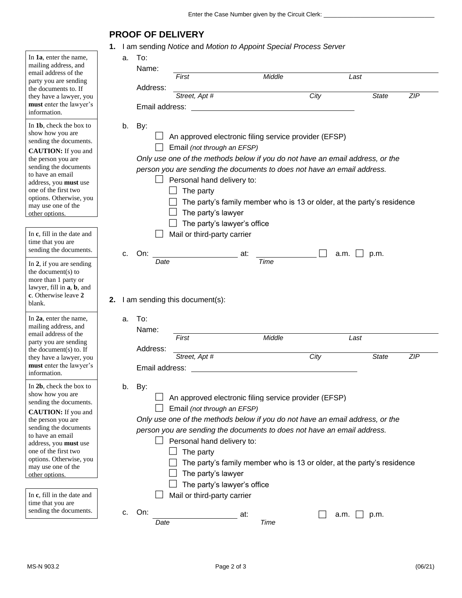## **PROOF OF DELIVERY**

**1.** I am sending *Notice* and *Motion to Appoint Special Process Server* 

|                                                                                                                                                                                                                                                                                            |    |                            | <b>Example: I all I seriority <i>I</i>volice</b> and <i>Motion to Appoint Special Frocess Server</i>                                                                                                                                                                                                                                                    |                                                                        |      |              |            |
|--------------------------------------------------------------------------------------------------------------------------------------------------------------------------------------------------------------------------------------------------------------------------------------------|----|----------------------------|---------------------------------------------------------------------------------------------------------------------------------------------------------------------------------------------------------------------------------------------------------------------------------------------------------------------------------------------------------|------------------------------------------------------------------------|------|--------------|------------|
| In 1a, enter the name,<br>mailing address, and<br>email address of the<br>party you are sending                                                                                                                                                                                            |    | To:<br>а.<br>Name:         | Middle<br>First                                                                                                                                                                                                                                                                                                                                         |                                                                        |      | Last         |            |
| the documents to. If<br>they have a lawyer, you<br>must enter the lawyer's<br>information.                                                                                                                                                                                                 |    | Address:<br>Email address: | Street, Apt #                                                                                                                                                                                                                                                                                                                                           |                                                                        | City | <b>State</b> | <b>ZIP</b> |
| In 1b, check the box to<br>show how you are<br>sending the documents.<br><b>CAUTION:</b> If you and<br>the person you are<br>sending the documents<br>to have an email<br>address, you must use<br>one of the first two<br>options. Otherwise, you<br>may use one of the<br>other options. |    | b.<br>By:                  | $\Box$ An approved electronic filing service provider (EFSP)<br>Email (not through an EFSP)<br>Only use one of the methods below if you do not have an email address, or the<br>person you are sending the documents to does not have an email address.<br>Personal hand delivery to:<br>The party<br>The party's lawyer<br>The party's lawyer's office | The party's family member who is 13 or older, at the party's residence |      |              |            |
| In c, fill in the date and<br>time that you are<br>sending the documents.                                                                                                                                                                                                                  |    | On:<br>C.                  | Mail or third-party carrier                                                                                                                                                                                                                                                                                                                             | at:                                                                    | a.m. | p.m.         |            |
| In 2, if you are sending<br>the document(s) to<br>more than 1 party or<br>lawyer, fill in <b>a</b> , <b>b</b> , and<br>c. Otherwise leave 2<br>blank.<br>In 2a, enter the name,<br>mailing address, and                                                                                    | 2. | Date<br>To:<br>a.<br>Name: | I am sending this document(s):                                                                                                                                                                                                                                                                                                                          | Time                                                                   |      |              |            |
| email address of the<br>party you are sending                                                                                                                                                                                                                                              |    |                            | First                                                                                                                                                                                                                                                                                                                                                   | Middle                                                                 |      | Last         |            |
| the document(s) to. If<br>they have a lawyer, you<br>must enter the lawyer's<br>information.                                                                                                                                                                                               |    | Address:<br>Email address: | Street, Apt #                                                                                                                                                                                                                                                                                                                                           |                                                                        | City | <b>State</b> | <b>ZIP</b> |
| In 2b, check the box to<br>show how you are<br>sending the documents.<br><b>CAUTION:</b> If you and<br>the person you are<br>sending the documents<br>to have an email<br>address, you must use<br>one of the first two<br>options. Otherwise, you<br>may use one of the<br>other options. |    | By:<br>b.                  | An approved electronic filing service provider (EFSP)<br>Email (not through an EFSP)<br>Only use one of the methods below if you do not have an email address, or the<br>person you are sending the documents to does not have an email address.<br>Personal hand delivery to:<br>The party<br>The party's lawyer<br>The party's lawyer's office        | The party's family member who is 13 or older, at the party's residence |      |              |            |
| In c, fill in the date and<br>time that you are<br>sending the documents.                                                                                                                                                                                                                  |    | On:<br>C.                  | Mail or third-party carrier                                                                                                                                                                                                                                                                                                                             | at:                                                                    | a.m. | p.m.         |            |
|                                                                                                                                                                                                                                                                                            |    | Date                       |                                                                                                                                                                                                                                                                                                                                                         | Time                                                                   |      |              |            |